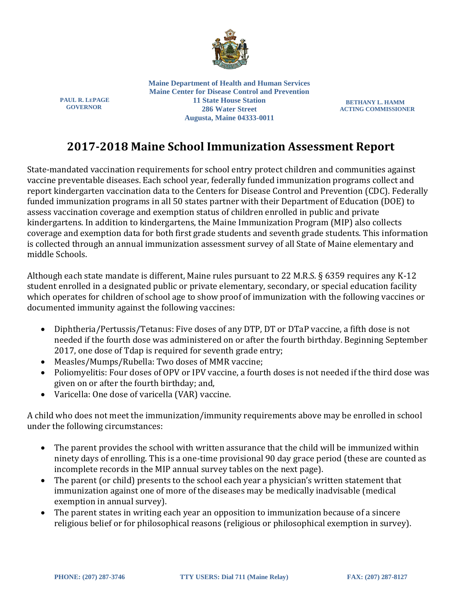

**Maine Department of Health and Human Services Maine Center for Disease Control and Prevention 11 State House Station 286 Water Street Augusta, Maine 04333-0011**

 **BETHANY L. HAMM ACTING COMMISSIONER**

## **2017-2018 Maine School Immunization Assessment Report**

State-mandated vaccination requirements for school entry protect children and communities against vaccine preventable diseases. Each school year, federally funded immunization programs collect and report kindergarten vaccination data to the Centers for Disease Control and Prevention (CDC). Federally funded immunization programs in all 50 states partner with their Department of Education (DOE) to assess vaccination coverage and exemption status of children enrolled in public and private kindergartens. In addition to kindergartens, the Maine Immunization Program (MIP) also collects coverage and exemption data for both first grade students and seventh grade students. This information is collected through an annual immunization assessment survey of all State of Maine elementary and middle Schools.

Although each state mandate is different, Maine rules pursuant to 22 M.R.S. § 6359 requires any K-12 student enrolled in a designated public or private elementary, secondary, or special education facility which operates for children of school age to show proof of immunization with the following vaccines or documented immunity against the following vaccines:

- Diphtheria/Pertussis/Tetanus: Five doses of any DTP, DT or DTaP vaccine, a fifth dose is not needed if the fourth dose was administered on or after the fourth birthday. Beginning September 2017, one dose of Tdap is required for seventh grade entry;
- Measles/Mumps/Rubella: Two doses of MMR vaccine;
- Poliomyelitis: Four doses of OPV or IPV vaccine, a fourth doses is not needed if the third dose was given on or after the fourth birthday; and,
- Varicella: One dose of varicella (VAR) vaccine.

A child who does not meet the immunization/immunity requirements above may be enrolled in school under the following circumstances:

- The parent provides the school with written assurance that the child will be immunized within ninety days of enrolling. This is a one-time provisional 90 day grace period (these are counted as incomplete records in the MIP annual survey tables on the next page).
- The parent (or child) presents to the school each year a physician's written statement that immunization against one of more of the diseases may be medically inadvisable (medical exemption in annual survey).
- The parent states in writing each year an opposition to immunization because of a sincere religious belief or for philosophical reasons (religious or philosophical exemption in survey).

**PAUL R. LEPAGE GOVERNOR**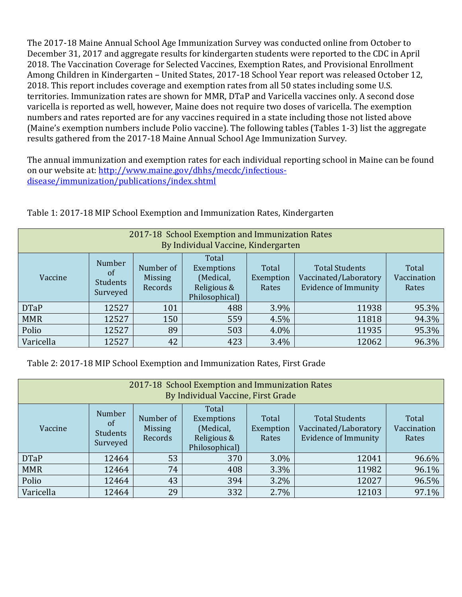The 2017-18 Maine Annual School Age Immunization Survey was conducted online from October to December 31, 2017 and aggregate results for kindergarten students were reported to the CDC in April 2018. The Vaccination Coverage for Selected Vaccines, Exemption Rates, and Provisional Enrollment Among Children in Kindergarten – United States, 2017-18 School Year report was released October 12, 2018. This report includes coverage and exemption rates from all 50 states including some U.S. territories. Immunization rates are shown for MMR, DTaP and Varicella vaccines only. A second dose varicella is reported as well, however, Maine does not require two doses of varicella. The exemption numbers and rates reported are for any vaccines required in a state including those not listed above (Maine's exemption numbers include Polio vaccine). The following tables (Tables 1-3) list the aggregate results gathered from the 2017-18 Maine Annual School Age Immunization Survey.

The annual immunization and exemption rates for each individual reporting school in Maine can be found on our website at: [http://www.maine.gov/dhhs/mecdc/infectious](http://www.maine.gov/dhhs/mecdc/infectious-disease/immunization/publications/index.shtml)[disease/immunization/publications/index.shtml](http://www.maine.gov/dhhs/mecdc/infectious-disease/immunization/publications/index.shtml)

| 2017-18 School Exemption and Immunization Rates<br>By Individual Vaccine, Kindergarten |                                                 |                                        |                                                                   |                             |                                                                               |                               |  |
|----------------------------------------------------------------------------------------|-------------------------------------------------|----------------------------------------|-------------------------------------------------------------------|-----------------------------|-------------------------------------------------------------------------------|-------------------------------|--|
| Vaccine                                                                                | Number<br><sub>of</sub><br>Students<br>Surveyed | Number of<br><b>Missing</b><br>Records | Total<br>Exemptions<br>(Medical,<br>Religious &<br>Philosophical) | Total<br>Exemption<br>Rates | <b>Total Students</b><br>Vaccinated/Laboratory<br><b>Evidence of Immunity</b> | Total<br>Vaccination<br>Rates |  |
| <b>DTaP</b>                                                                            | 12527                                           | 101                                    | 488                                                               | 3.9%                        | 11938                                                                         | 95.3%                         |  |
| <b>MMR</b>                                                                             | 12527                                           | 150                                    | 559                                                               | 4.5%                        | 11818                                                                         | 94.3%                         |  |
| Polio                                                                                  | 12527                                           | 89                                     | 503                                                               | 4.0%                        | 11935                                                                         | 95.3%                         |  |
| Varicella                                                                              | 12527                                           | 42                                     | 423                                                               | $3.4\%$                     | 12062                                                                         | 96.3%                         |  |

Table 1: 2017-18 MIP School Exemption and Immunization Rates, Kindergarten

Table 2: 2017-18 MIP School Exemption and Immunization Rates, First Grade

| 2017-18 School Exemption and Immunization Rates<br>By Individual Vaccine, First Grade |                                                    |                                        |                                                                   |                             |                                                                               |                               |  |
|---------------------------------------------------------------------------------------|----------------------------------------------------|----------------------------------------|-------------------------------------------------------------------|-----------------------------|-------------------------------------------------------------------------------|-------------------------------|--|
| Vaccine                                                                               | <b>Number</b><br>of<br><b>Students</b><br>Surveyed | Number of<br><b>Missing</b><br>Records | Total<br>Exemptions<br>(Medical,<br>Religious &<br>Philosophical) | Total<br>Exemption<br>Rates | <b>Total Students</b><br>Vaccinated/Laboratory<br><b>Evidence of Immunity</b> | Total<br>Vaccination<br>Rates |  |
| <b>DTaP</b>                                                                           | 12464                                              | 53                                     | 370                                                               | 3.0%                        | 12041                                                                         | 96.6%                         |  |
| <b>MMR</b>                                                                            | 12464                                              | 74                                     | 408                                                               | 3.3%                        | 11982                                                                         | 96.1%                         |  |
| Polio                                                                                 | 12464                                              | 43                                     | 394                                                               | 3.2%                        | 12027                                                                         | 96.5%                         |  |
| Varicella                                                                             | 12464                                              | 29                                     | 332                                                               | $2.7\%$                     | 12103                                                                         | 97.1%                         |  |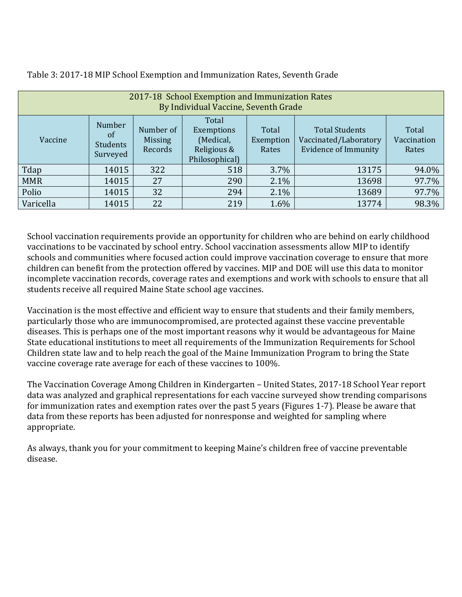| 2017-18 School Exemption and Immunization Rates<br>By Individual Vaccine, Seventh Grade |                                             |                                        |                                                                   |                             |                                                                               |                               |  |
|-----------------------------------------------------------------------------------------|---------------------------------------------|----------------------------------------|-------------------------------------------------------------------|-----------------------------|-------------------------------------------------------------------------------|-------------------------------|--|
| Vaccine                                                                                 | Number<br>of<br><b>Students</b><br>Surveyed | Number of<br><b>Missing</b><br>Records | Total<br>Exemptions<br>(Medical,<br>Religious &<br>Philosophical) | Total<br>Exemption<br>Rates | <b>Total Students</b><br>Vaccinated/Laboratory<br><b>Evidence of Immunity</b> | Total<br>Vaccination<br>Rates |  |
| Tdap                                                                                    | 14015                                       | 322                                    | 518                                                               | $3.7\%$                     | 13175                                                                         | 94.0%                         |  |
| <b>MMR</b>                                                                              | 14015                                       | 27                                     | 290                                                               | 2.1%                        | 13698                                                                         | 97.7%                         |  |
| Polio                                                                                   | 14015                                       | 32                                     | 294                                                               | 2.1%                        | 13689                                                                         | 97.7%                         |  |
| Varicella                                                                               | 14015                                       | 22                                     | 219                                                               | 1.6%                        | 13774                                                                         | 98.3%                         |  |

Table 3: 2017-18 MIP School Exemption and Immunization Rates, Seventh Grade

School vaccination requirements provide an opportunity for children who are behind on early childhood vaccinations to be vaccinated by school entry. School vaccination assessments allow MIP to identify schools and communities where focused action could improve vaccination coverage to ensure that more children can benefit from the protection offered by vaccines. MIP and DOE will use this data to monitor incomplete vaccination records, coverage rates and exemptions and work with schools to ensure that all students receive all required Maine State school age vaccines.

Vaccination is the most effective and efficient way to ensure that students and their family members, particularly those who are immunocompromised, are protected against these vaccine preventable diseases. This is perhaps one of the most important reasons why it would be advantageous for Maine State educational institutions to meet all requirements of the Immunization Requirements for School Children state law and to help reach the goal of the Maine Immunization Program to bring the State vaccine coverage rate average for each of these vaccines to 100%.

The Vaccination Coverage Among Children in Kindergarten – United States, 2017-18 School Year report data was analyzed and graphical representations for each vaccine surveyed show trending comparisons for immunization rates and exemption rates over the past 5 years (Figures 1-7). Please be aware that data from these reports has been adjusted for nonresponse and weighted for sampling where appropriate.

As always, thank you for your commitment to keeping Maine's children free of vaccine preventable disease.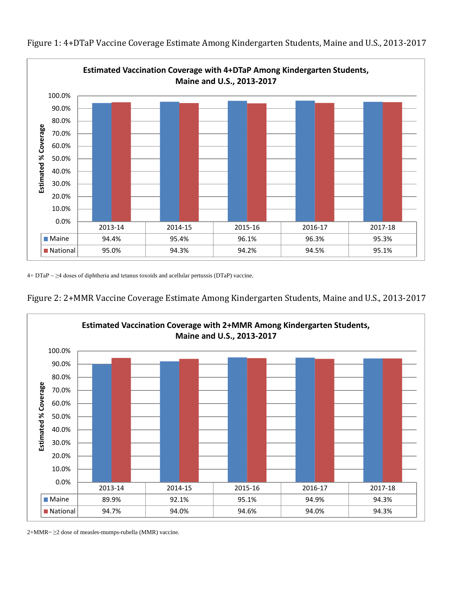

Figure 1: 4+DTaP Vaccine Coverage Estimate Among Kindergarten Students, Maine and U.S., 2013-2017

4+ DTaP ~ ≥4 doses of diphtheria and tetanus toxoids and acellular pertussis (DTaP) vaccine.





2+MMR~ ≥2 dose of measles-mumps-rubella (MMR) vaccine.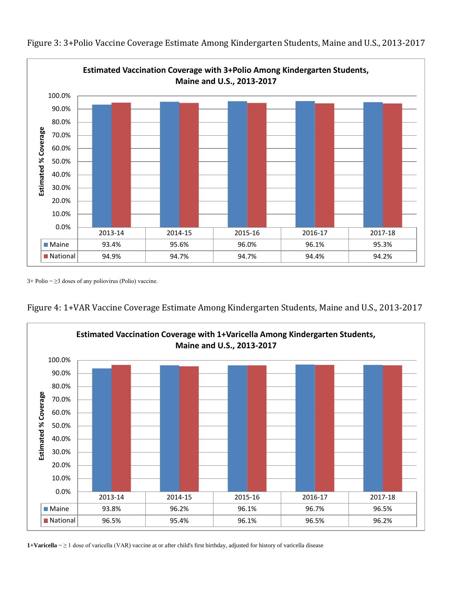

Figure 3: 3+Polio Vaccine Coverage Estimate Among Kindergarten Students, Maine and U.S., 2013-2017

3+ Polio  $\sim \geq 3$  doses of any poliovirus (Polio) vaccine.





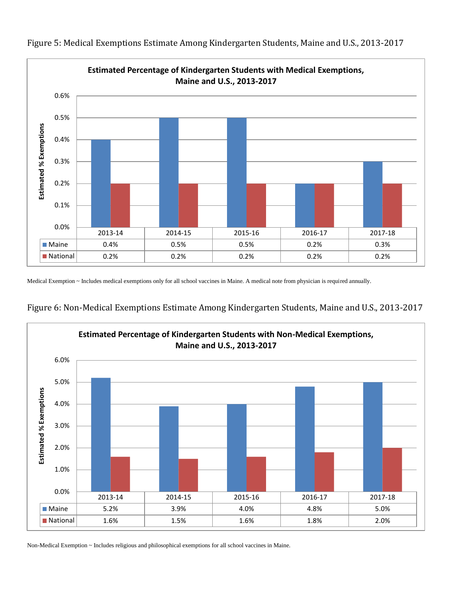

Figure 5: Medical Exemptions Estimate Among Kindergarten Students, Maine and U.S., 2013-2017

Medical Exemption ~ Includes medical exemptions only for all school vaccines in Maine. A medical note from physician is required annually.





Non-Medical Exemption ~ Includes religious and philosophical exemptions for all school vaccines in Maine.